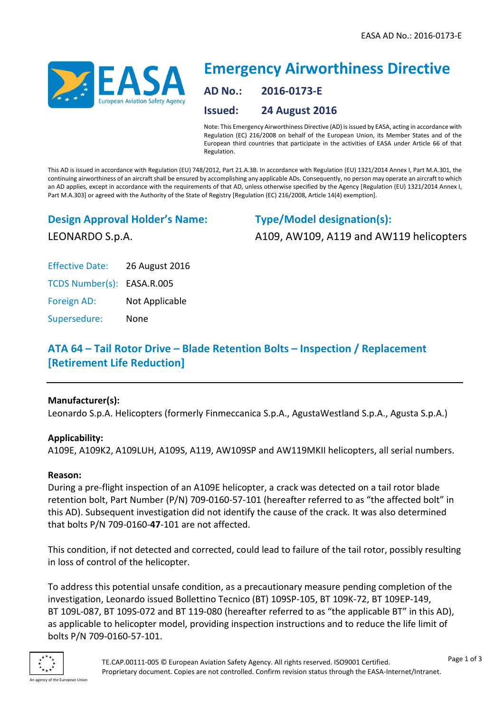

# **Emergency Airworthiness Directive AD No.: 2016-0173-E Issued: 24 August 2016**

Note: This Emergency Airworthiness Directive (AD) is issued by EASA, acting in accordance with Regulation (EC) 216/2008 on behalf of the European Union, its Member States and of the European third countries that participate in the activities of EASA under Article 66 of that Regulation.

This AD is issued in accordance with Regulation (EU) 748/2012, Part 21.A.3B. In accordance with Regulation (EU) 1321/2014 Annex I, Part M.A.301, the continuing airworthiness of an aircraft shall be ensured by accomplishing any applicable ADs. Consequently, no person may operate an aircraft to which an AD applies, except in accordance with the requirements of that AD, unless otherwise specified by the Agency [Regulation (EU) 1321/2014 Annex I, Part M.A.303] or agreed with the Authority of the State of Registry [Regulation (EC) 216/2008, Article 14(4) exemption].

**Design Approval Holder's Name:**

LEONARDO S.p.A.

**Type/Model designation(s):** A109, AW109, A119 and AW119 helicopters

Effective Date: 26 August 2016

TCDS Number(s): EASA.R.005

Foreign AD: Not Applicable

Supersedure: None

## **ATA 64 – Tail Rotor Drive – Blade Retention Bolts – Inspection / Replacement [Retirement Life Reduction]**

### **Manufacturer(s):**

Leonardo S.p.A. Helicopters (formerly Finmeccanica S.p.A., AgustaWestland S.p.A., Agusta S.p.A.)

### **Applicability:**

A109E, A109K2, A109LUH, A109S, A119, AW109SP and AW119MKII helicopters, all serial numbers.

### **Reason:**

During a pre-flight inspection of an A109E helicopter, a crack was detected on a tail rotor blade retention bolt, Part Number (P/N) 709-0160-57-101 (hereafter referred to as "the affected bolt" in this AD). Subsequent investigation did not identify the cause of the crack. It was also determined that bolts P/N 709-0160-**47**-101 are not affected.

This condition, if not detected and corrected, could lead to failure of the tail rotor, possibly resulting in loss of control of the helicopter.

To address this potential unsafe condition, as a precautionary measure pending completion of the investigation, Leonardo issued Bollettino Tecnico (BT) 109SP-105, BT 109K-72, BT 109EP-149, BT 109L-087, BT 109S-072 and BT 119-080 (hereafter referred to as "the applicable BT" in this AD), as applicable to helicopter model, providing inspection instructions and to reduce the life limit of bolts P/N 709-0160-57-101.

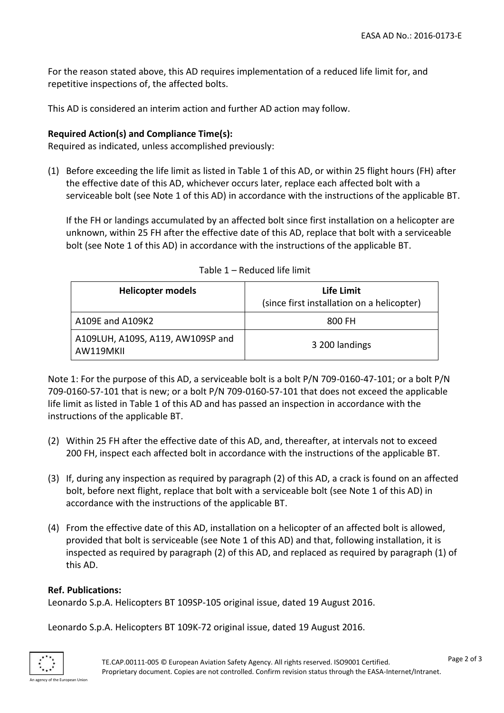For the reason stated above, this AD requires implementation of a reduced life limit for, and repetitive inspections of, the affected bolts.

This AD is considered an interim action and further AD action may follow.

#### **Required Action(s) and Compliance Time(s):**

Required as indicated, unless accomplished previously:

(1) Before exceeding the life limit as listed in Table 1 of this AD, or within 25 flight hours (FH) after the effective date of this AD, whichever occurs later, replace each affected bolt with a serviceable bolt (see Note 1 of this AD) in accordance with the instructions of the applicable BT.

If the FH or landings accumulated by an affected bolt since first installation on a helicopter are unknown, within 25 FH after the effective date of this AD, replace that bolt with a serviceable bolt (see Note 1 of this AD) in accordance with the instructions of the applicable BT.

| <b>Helicopter models</b>                       | Life Limit<br>(since first installation on a helicopter) |
|------------------------------------------------|----------------------------------------------------------|
| A109E and A109K2                               | 800 FH                                                   |
| A109LUH, A109S, A119, AW109SP and<br>AW119MKII | 3 200 landings                                           |

Table 1 – Reduced life limit

Note 1: For the purpose of this AD, a serviceable bolt is a bolt P/N 709-0160-47-101; or a bolt P/N 709-0160-57-101 that is new; or a bolt P/N 709-0160-57-101 that does not exceed the applicable life limit as listed in Table 1 of this AD and has passed an inspection in accordance with the instructions of the applicable BT.

- (2) Within 25 FH after the effective date of this AD, and, thereafter, at intervals not to exceed 200 FH, inspect each affected bolt in accordance with the instructions of the applicable BT.
- (3) If, during any inspection as required by paragraph (2) of this AD, a crack is found on an affected bolt, before next flight, replace that bolt with a serviceable bolt (see Note 1 of this AD) in accordance with the instructions of the applicable BT.
- (4) From the effective date of this AD, installation on a helicopter of an affected bolt is allowed, provided that bolt is serviceable (see Note 1 of this AD) and that, following installation, it is inspected as required by paragraph (2) of this AD, and replaced as required by paragraph (1) of this AD.

### **Ref. Publications:**

Leonardo S.p.A. Helicopters BT 109SP-105 original issue, dated 19 August 2016.

Leonardo S.p.A. Helicopters BT 109K-72 original issue, dated 19 August 2016.